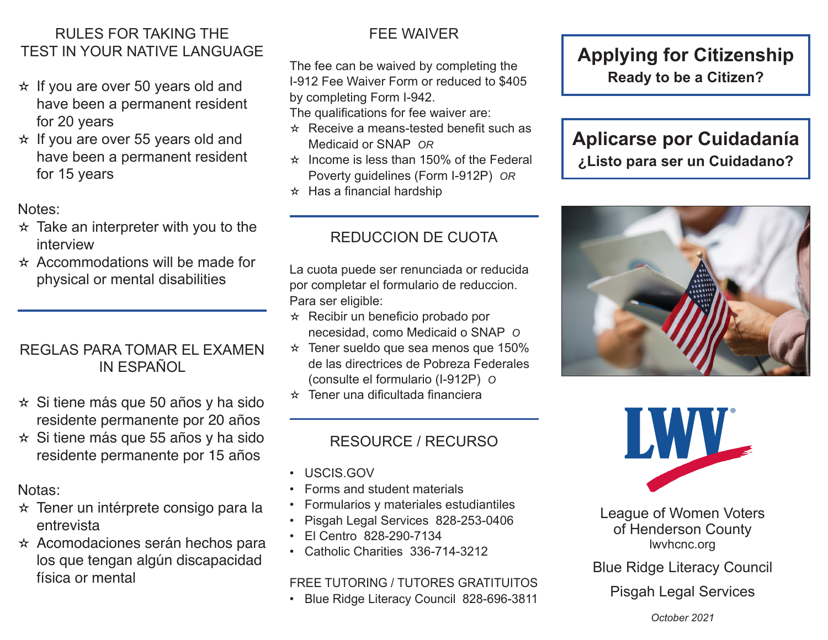## RULES FOR TAKING THE TEST IN YOUR NATIVE LANGUAGE

- $\star$  If you are over 50 years old and have been a permanent resident for 20 years
- $\star$  If you are over 55 years old and have been a permanent resident for 15 years

### Notes:

- $\star$  Take an interpreter with you to the interview
- $\star$  Accommodations will be made for physical or mental disabilities

### REGLAS PARA TOMAR EL EXAMEN IN ESPAÑOL

- $\star$  Si tiene más que 50 años y ha sido residente permanente por 20 años
- $\star$  Si tiene más que 55 años y ha sido residente permanente por 15 años

## Notas:

- ✫ Tener un intérprete consigo para la entrevista
- ✫ Acomodaciones serán hechos para los que tengan algún discapacidad física or mental

# FEE WAIVER

The fee can be waived by completing the I-912 Fee Waiver Form or reduced to \$405 by completing Form I-942.

The qualifications for fee waiver are:

- $\star$  Receive a means-tested benefit such as Medicaid or SNAP *OR*
- $\star$  Income is less than 150% of the Federal Poverty guidelines (Form I-912P) *OR*
- $\star$  Has a financial hardship

# REDUCCION DE CUOTA

La cuota puede ser renunciada or reducida por completar el formulario de reduccion. Para ser eligible:

- $\star$  Recibir un beneficio probado por necesidad, como Medicaid o SNAP *O*
- $\star$  Tener sueldo que sea menos que 150% de las directrices de Pobreza Federales (consulte el formulario (I-912P) *O*
- $\star$  Tener una dificultada financiera

# RESOURCE / RECURSO

- USCIS.GOV
- Forms and student materials
- Formularios y materiales estudiantiles
- Pisgah Legal Services 828-253-0406
- El Centro 828-290-7134
- Catholic Charities 336-714-3212

### FREE TUTORING / TUTORES GRATITUITOS

• Blue Ridge Literacy Council 828-696-3811

# **Applying for Citizenship Ready to be a Citizen?**

# **Aplicarse por Cuidadanía ¿Listo para ser un Cuidadano?**





League of Women Voters of Henderson County lwvhcnc.org

Blue Ridge Literacy Council

Pisgah Legal Services